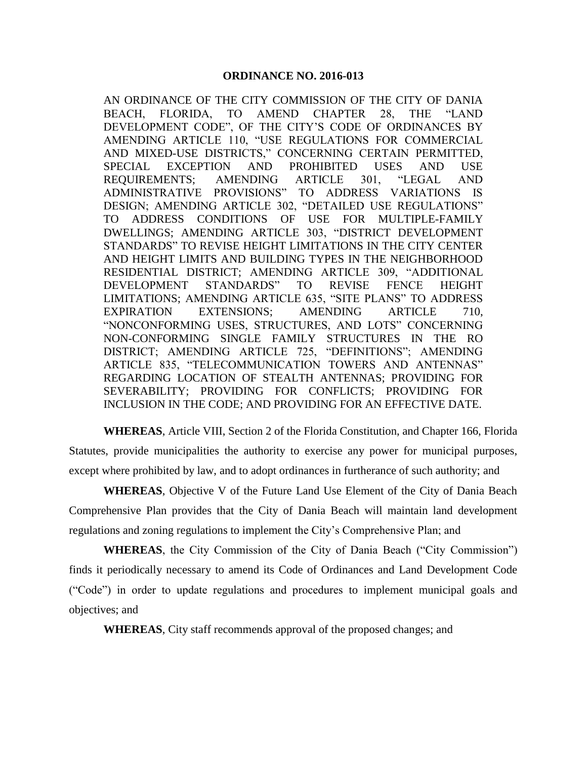AN ORDINANCE OF THE CITY COMMISSION OF THE CITY OF DANIA BEACH, FLORIDA, TO AMEND CHAPTER 28, THE "LAND DEVELOPMENT CODE", OF THE CITY'S CODE OF ORDINANCES BY AMENDING ARTICLE 110, "USE REGULATIONS FOR COMMERCIAL AND MIXED-USE DISTRICTS," CONCERNING CERTAIN PERMITTED, SPECIAL EXCEPTION AND PROHIBITED USES AND USE REQUIREMENTS; AMENDING ARTICLE 301, "LEGAL AND ADMINISTRATIVE PROVISIONS" TO ADDRESS VARIATIONS IS DESIGN; AMENDING ARTICLE 302, "DETAILED USE REGULATIONS" TO ADDRESS CONDITIONS OF USE FOR MULTIPLE-FAMILY DWELLINGS; AMENDING ARTICLE 303, "DISTRICT DEVELOPMENT STANDARDS" TO REVISE HEIGHT LIMITATIONS IN THE CITY CENTER AND HEIGHT LIMITS AND BUILDING TYPES IN THE NEIGHBORHOOD RESIDENTIAL DISTRICT; AMENDING ARTICLE 309, "ADDITIONAL DEVELOPMENT STANDARDS" TO REVISE FENCE HEIGHT LIMITATIONS; AMENDING ARTICLE 635, "SITE PLANS" TO ADDRESS EXPIRATION EXTENSIONS; AMENDING ARTICLE 710, "NONCONFORMING USES, STRUCTURES, AND LOTS" CONCERNING NON-CONFORMING SINGLE FAMILY STRUCTURES IN THE RO DISTRICT; AMENDING ARTICLE 725, "DEFINITIONS"; AMENDING ARTICLE 835, "TELECOMMUNICATION TOWERS AND ANTENNAS" REGARDING LOCATION OF STEALTH ANTENNAS; PROVIDING FOR SEVERABILITY; PROVIDING FOR CONFLICTS; PROVIDING FOR INCLUSION IN THE CODE; AND PROVIDING FOR AN EFFECTIVE DATE.

**WHEREAS**, Article VIII, Section 2 of the Florida Constitution, and Chapter 166, Florida Statutes, provide municipalities the authority to exercise any power for municipal purposes, except where prohibited by law, and to adopt ordinances in furtherance of such authority; and

**WHEREAS**, Objective V of the Future Land Use Element of the City of Dania Beach Comprehensive Plan provides that the City of Dania Beach will maintain land development regulations and zoning regulations to implement the City's Comprehensive Plan; and

**WHEREAS**, the City Commission of the City of Dania Beach ("City Commission") finds it periodically necessary to amend its Code of Ordinances and Land Development Code ("Code") in order to update regulations and procedures to implement municipal goals and objectives; and

**WHEREAS**, City staff recommends approval of the proposed changes; and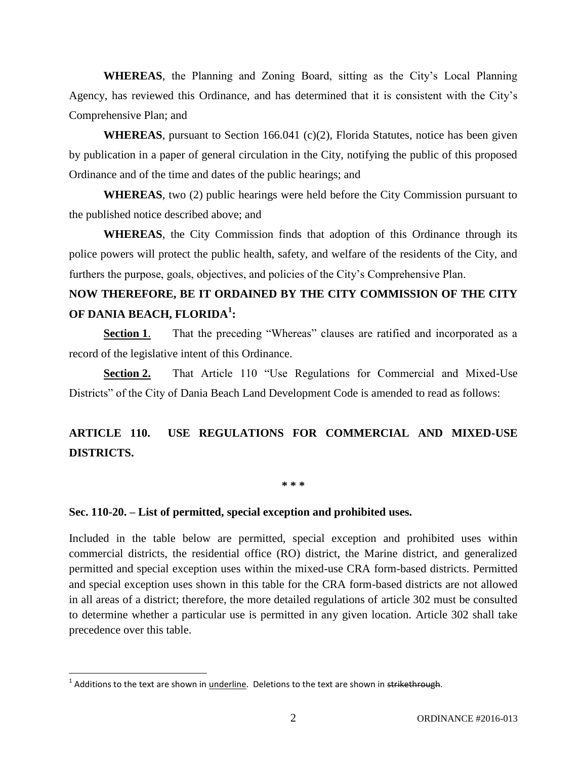**WHEREAS**, the Planning and Zoning Board, sitting as the City's Local Planning Agency, has reviewed this Ordinance, and has determined that it is consistent with the City's Comprehensive Plan; and

**WHEREAS**, pursuant to Section 166.041 (c)(2), Florida Statutes, notice has been given by publication in a paper of general circulation in the City, notifying the public of this proposed Ordinance and of the time and dates of the public hearings; and

**WHEREAS**, two (2) public hearings were held before the City Commission pursuant to the published notice described above; and

**WHEREAS**, the City Commission finds that adoption of this Ordinance through its police powers will protect the public health, safety, and welfare of the residents of the City, and furthers the purpose, goals, objectives, and policies of the City's Comprehensive Plan.

# **NOW THEREFORE, BE IT ORDAINED BY THE CITY COMMISSION OF THE CITY OF DANIA BEACH, FLORIDA<sup>1</sup> :**

**Section 1.** That the preceding "Whereas" clauses are ratified and incorporated as a record of the legislative intent of this Ordinance.

**Section 2.** That Article 110 "Use Regulations for Commercial and Mixed-Use Districts" of the City of Dania Beach Land Development Code is amended to read as follows:

# **ARTICLE 110. USE REGULATIONS FOR COMMERCIAL AND MIXED-USE DISTRICTS.**

**\* \* \***

### **Sec. 110-20. – List of permitted, special exception and prohibited uses.**

Included in the table below are permitted, special exception and prohibited uses within commercial districts, the residential office (RO) district, the Marine district, and generalized permitted and special exception uses within the mixed-use CRA form-based districts. Permitted and special exception uses shown in this table for the CRA form-based districts are not allowed in all areas of a district; therefore, the more detailed regulations of article 302 must be consulted to determine whether a particular use is permitted in any given location. Article 302 shall take precedence over this table.

 $\overline{\phantom{a}}$ 

<sup>&</sup>lt;sup>1</sup> Additions to the text are shown in <u>underline</u>. Deletions to the text are shown in <del>strikethrough</del>.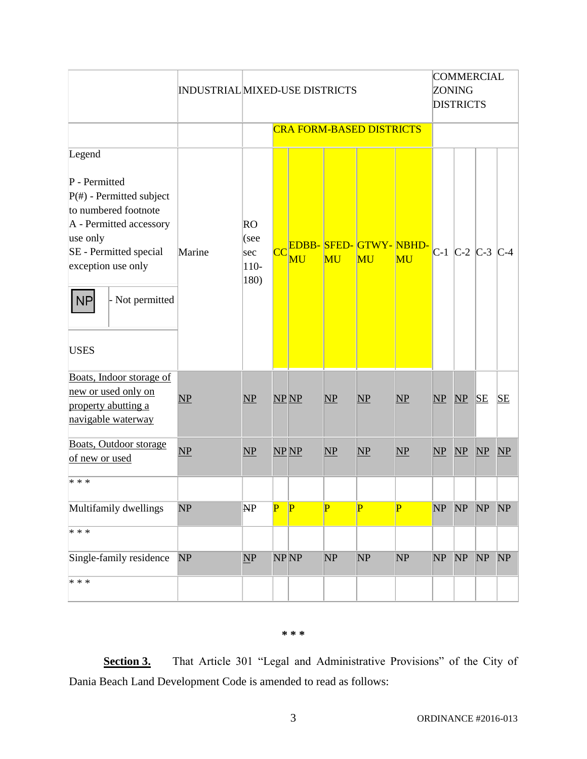|                        | <b>INDUSTRIAL MIXED-USE DISTRICTS</b> |                                                                                   |  |                                                                                    |                           | <b>COMMERCIAL</b><br><b>ZONING</b><br><b>DISTRICTS</b> |                                                              |    |                                           |                                                 |
|------------------------|---------------------------------------|-----------------------------------------------------------------------------------|--|------------------------------------------------------------------------------------|---------------------------|--------------------------------------------------------|--------------------------------------------------------------|----|-------------------------------------------|-------------------------------------------------|
|                        | <b>CRA FORM-BASED DISTRICTS</b>       |                                                                                   |  |                                                                                    |                           |                                                        |                                                              |    |                                           |                                                 |
| Marine                 |                                       | $\overline{\text{CC}}$                                                            |  | MU                                                                                 | MU                        | MU                                                     |                                                              |    |                                           |                                                 |
| $\overline{\text{NP}}$ |                                       |                                                                                   |  |                                                                                    | $\mathbf{NP}$             |                                                        |                                                              |    |                                           | SE                                              |
| NP                     |                                       |                                                                                   |  |                                                                                    | NP                        |                                                        |                                                              |    |                                           | $\overline{\text{NP}}$                          |
|                        |                                       |                                                                                   |  |                                                                                    |                           |                                                        |                                                              |    |                                           |                                                 |
| NP                     |                                       | $\overline{\mathbf{P}}$                                                           |  | $\overline{P}$                                                                     | $\overline{\mathbf{P}}$   | $\overline{\mathbf{P}}$                                | NP                                                           |    |                                           | NP                                              |
|                        |                                       |                                                                                   |  |                                                                                    |                           |                                                        |                                                              |    |                                           |                                                 |
| NP                     |                                       |                                                                                   |  |                                                                                    | NP                        |                                                        |                                                              |    |                                           | NP                                              |
|                        |                                       | RO<br>(see<br>sec<br>$110-$<br>180)<br>$\mathbf{NP}$<br>NP<br>NP<br>$\mathbf{NP}$ |  | <b>MU</b><br>$NP$ $NP$<br>$NP$ $NP$<br>$\overline{\mathbf{P}}$<br>NP <sub>NP</sub> | $\mathbf{NP}$<br>NP<br>NP |                                                        | EDBB-SFED-GTWY-NBHD-<br>$\mathbf{NP}$<br>$\mathbf{NP}$<br>NP | NP | $NP$ $NP$<br>$\mathbf{NP}$<br>NP<br>NP NP | $C-1$ $C-2$ $C-3$ $C-4$<br>SE<br>NP<br>NP<br>NP |

### **\* \* \***

**Section 3.** That Article 301 "Legal and Administrative Provisions" of the City of Dania Beach Land Development Code is amended to read as follows: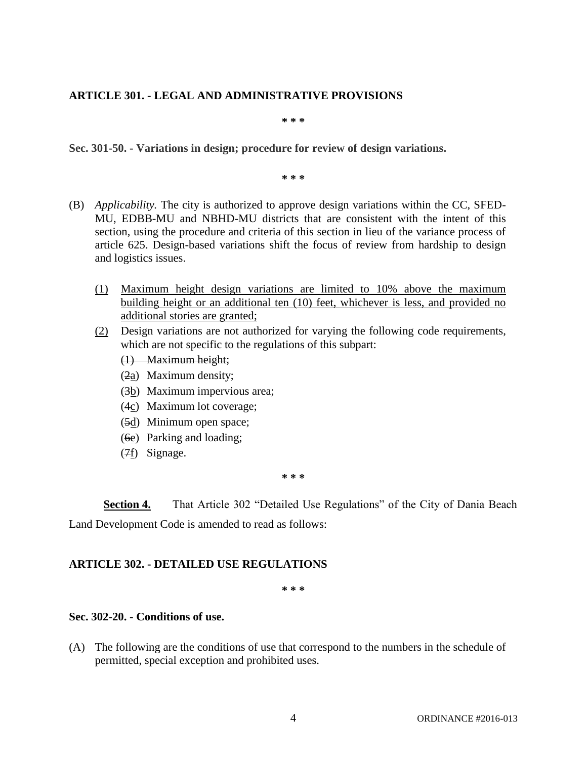# **ARTICLE 301. - LEGAL AND ADMINISTRATIVE PROVISIONS**

**\* \* \***

**Sec. 301-50. - Variations in design; procedure for review of design variations.** 

**\* \* \***

- (B) *Applicability.* The city is authorized to approve design variations within the CC, SFED-MU, EDBB-MU and NBHD-MU districts that are consistent with the intent of this section, using the procedure and criteria of this section in lieu of the variance process of article 625. Design-based variations shift the focus of review from hardship to design and logistics issues.
	- (1) Maximum height design variations are limited to 10% above the maximum building height or an additional ten (10) feet, whichever is less, and provided no additional stories are granted;
	- (2) Design variations are not authorized for varying the following code requirements, which are not specific to the regulations of this subpart:
		- (1) Maximum height;
		- (2a) Maximum density;
		- (3b) Maximum impervious area;
		- (4c) Maximum lot coverage;
		- (5d) Minimum open space;
		- (6e) Parking and loading;
		- (7f) Signage.

**\* \* \***

**Section 4.** That Article 302 "Detailed Use Regulations" of the City of Dania Beach Land Development Code is amended to read as follows:

# **ARTICLE 302. - DETAILED USE REGULATIONS**

**\* \* \***

# **Sec. 302-20. - Conditions of use.**

(A) The following are the conditions of use that correspond to the numbers in the schedule of permitted, special exception and prohibited uses.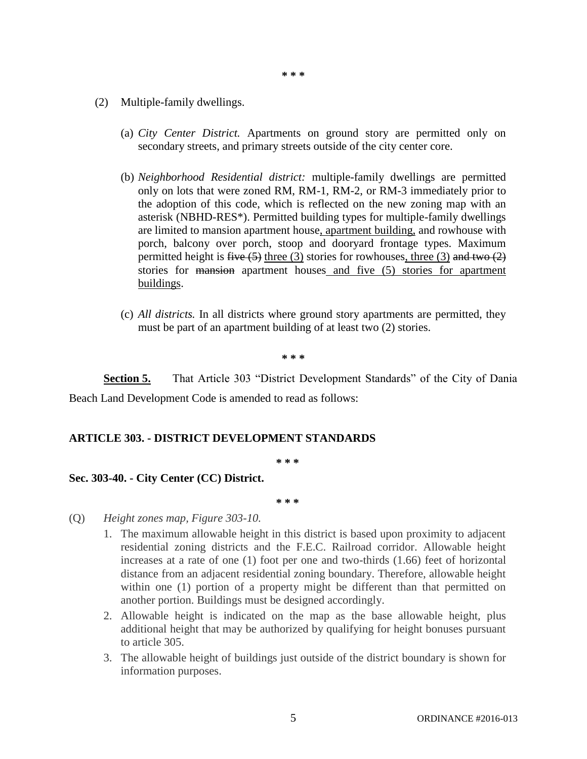- **\* \* \***
- (2) Multiple-family dwellings.
	- (a) *City Center District.* Apartments on ground story are permitted only on secondary streets, and primary streets outside of the city center core.
	- (b) *Neighborhood Residential district:* multiple-family dwellings are permitted only on lots that were zoned RM, RM-1, RM-2, or RM-3 immediately prior to the adoption of this code, which is reflected on the new zoning map with an asterisk (NBHD-RES\*). Permitted building types for multiple-family dwellings are limited to mansion apartment house, apartment building, and rowhouse with porch, balcony over porch, stoop and dooryard frontage types. Maximum permitted height is five  $(5)$  three  $(3)$  stories for rowhouses, three  $(3)$  and two  $(2)$ stories for mansion apartment houses and five (5) stories for apartment buildings.
	- (c) *All districts.* In all districts where ground story apartments are permitted, they must be part of an apartment building of at least two (2) stories.

**\* \* \***

**Section 5.** That Article 303 "District Development Standards" of the City of Dania Beach Land Development Code is amended to read as follows:

### **ARTICLE 303. - DISTRICT DEVELOPMENT STANDARDS**

**\* \* \***

### **Sec. 303-40. - City Center (CC) District.**

**\* \* \***

- (Q) *Height zones map, Figure 303-10.*
	- 1. The maximum allowable height in this district is based upon proximity to adjacent residential zoning districts and the F.E.C. Railroad corridor. Allowable height increases at a rate of one (1) foot per one and two-thirds (1.66) feet of horizontal distance from an adjacent residential zoning boundary. Therefore, allowable height within one (1) portion of a property might be different than that permitted on another portion. Buildings must be designed accordingly.
	- 2. Allowable height is indicated on the map as the base allowable height, plus additional height that may be authorized by qualifying for height bonuses pursuant to article 305.
	- 3. The allowable height of buildings just outside of the district boundary is shown for information purposes.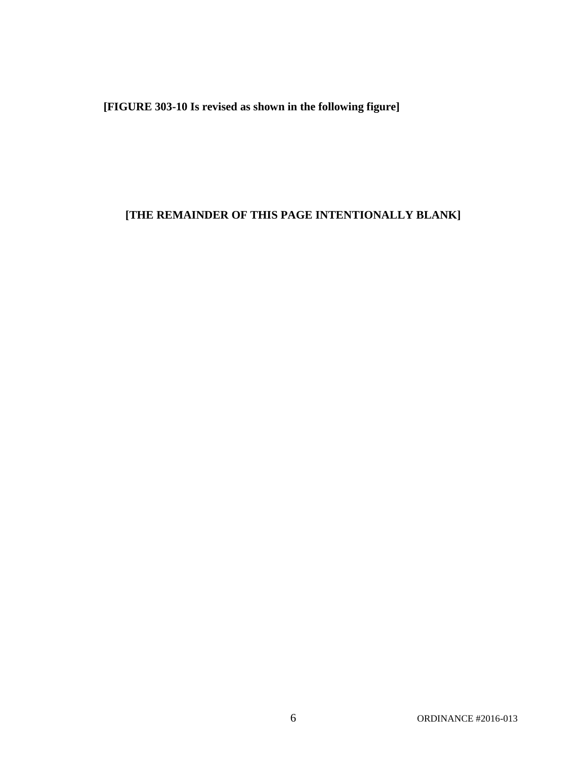**[FIGURE 303-10 Is revised as shown in the following figure]**

# **[THE REMAINDER OF THIS PAGE INTENTIONALLY BLANK]**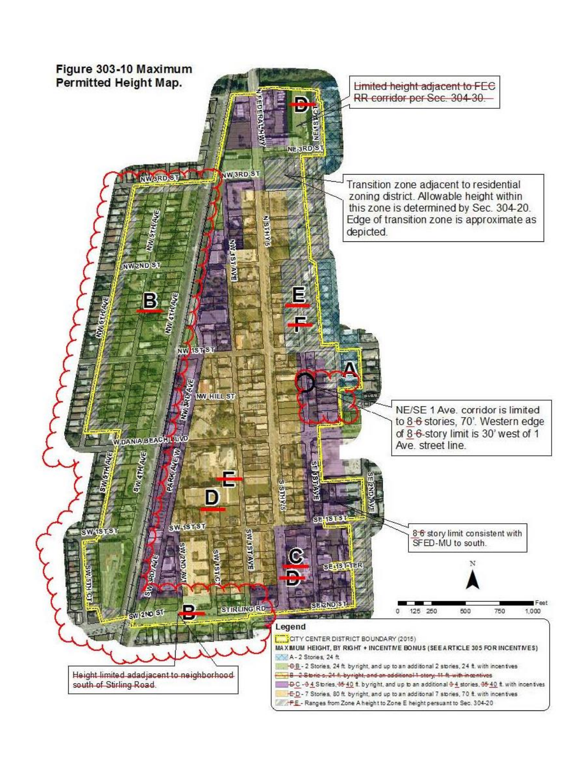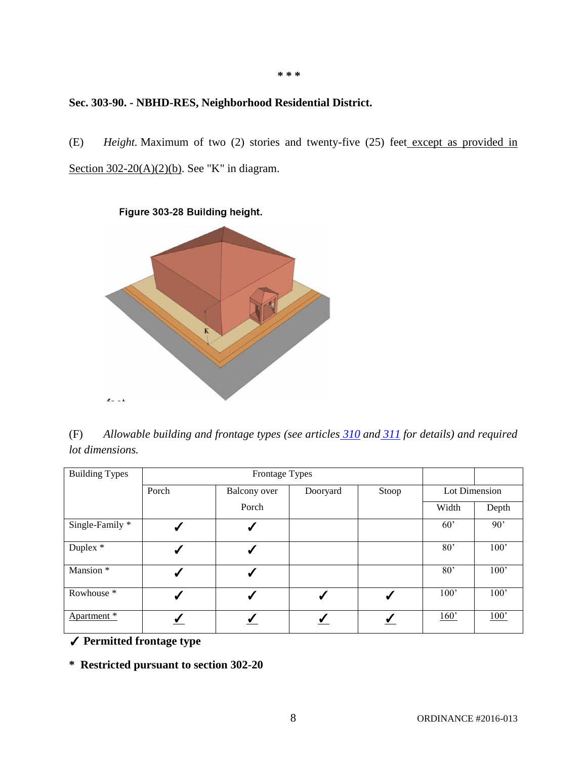# **Sec. 303-90. - NBHD-RES, Neighborhood Residential District.**

(E) *Height.* Maximum of two (2) stories and twenty-five (25) feet except as provided in Section  $302-20(A)(2)(b)$ . See "K" in diagram.

**\* \* \***

Figure 303-28 Building height.  $\mathbf{r} = 1$ 

(F) *Allowable building and frontage types (see articles [310](https://www2.municode.com/library/) and [311](https://www2.municode.com/library/) for details) and required lot dimensions.*

| <b>Building Types</b> |              |               |              |   |                 |       |
|-----------------------|--------------|---------------|--------------|---|-----------------|-------|
|                       | Porch        | Lot Dimension |              |   |                 |       |
|                       |              | Porch         |              |   | Width           | Depth |
| Single-Family *       | J            | ✔             |              |   | 60'             | 90'   |
| Duplex *              | √            | ✔             |              |   | 80 <sup>2</sup> | 100'  |
| Mansion <sup>*</sup>  | √            | ✔             |              |   | 80 <sup>2</sup> | 100'  |
| Rowhouse <sup>*</sup> | $\checkmark$ | ✔             | $\checkmark$ | √ | 100'            | 100'  |
| Apartment *           |              |               |              |   | 160'            | 100'  |

✓ **Permitted frontage type**

**\* Restricted pursuant to section 302-20**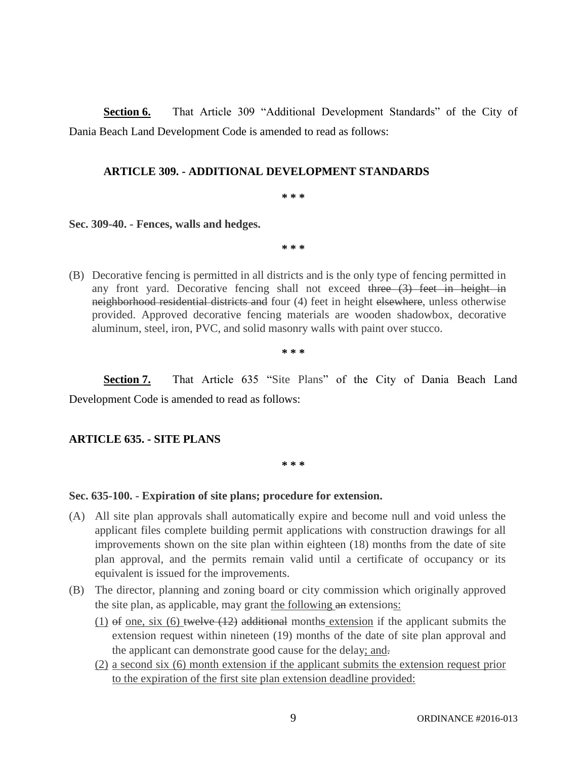**Section 6.** That Article 309 "Additional Development Standards" of the City of Dania Beach Land Development Code is amended to read as follows:

### **ARTICLE 309. - ADDITIONAL DEVELOPMENT STANDARDS**

**\* \* \***

**Sec. 309-40. - Fences, walls and hedges.** 

**\* \* \***

(B) Decorative fencing is permitted in all districts and is the only type of fencing permitted in any front yard. Decorative fencing shall not exceed three  $(3)$  feet in height in neighborhood residential districts and four (4) feet in height elsewhere, unless otherwise provided. Approved decorative fencing materials are wooden shadowbox, decorative aluminum, steel, iron, PVC, and solid masonry walls with paint over stucco.

**\* \* \***

**Section 7.** That Article 635 "Site Plans" of the City of Dania Beach Land Development Code is amended to read as follows:

### **ARTICLE 635. - SITE PLANS**

**\* \* \***

### **Sec. 635-100. - Expiration of site plans; procedure for extension.**

- (A) All site plan approvals shall automatically expire and become null and void unless the applicant files complete building permit applications with construction drawings for all improvements shown on the site plan within eighteen (18) months from the date of site plan approval, and the permits remain valid until a certificate of occupancy or its equivalent is issued for the improvements.
- (B) The director, planning and zoning board or city commission which originally approved the site plan, as applicable, may grant the following an extensions:
	- $(1)$  of one, six  $(6)$  twelve  $(12)$  additional months extension if the applicant submits the extension request within nineteen (19) months of the date of site plan approval and the applicant can demonstrate good cause for the delay; and.
	- (2) a second six (6) month extension if the applicant submits the extension request prior to the expiration of the first site plan extension deadline provided: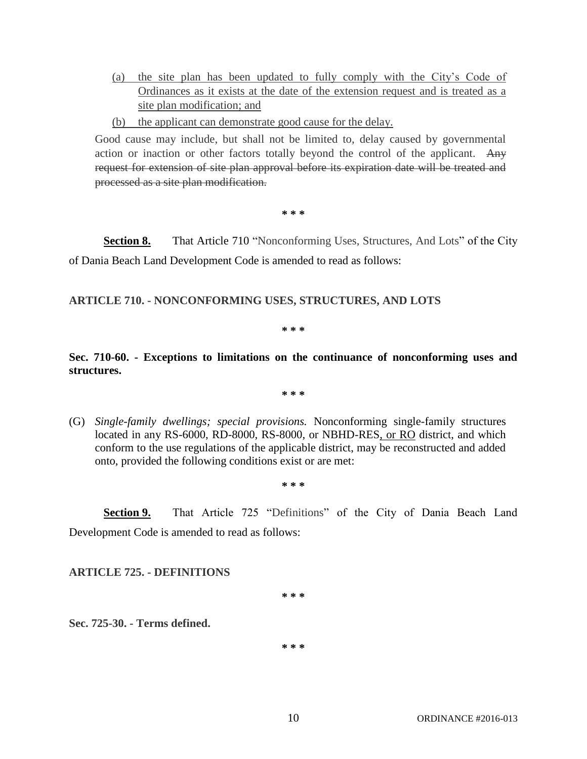- (a) the site plan has been updated to fully comply with the City's Code of Ordinances as it exists at the date of the extension request and is treated as a site plan modification; and
- (b) the applicant can demonstrate good cause for the delay.

Good cause may include, but shall not be limited to, delay caused by governmental action or inaction or other factors totally beyond the control of the applicant. Any request for extension of site plan approval before its expiration date will be treated and processed as a site plan modification.

**\* \* \***

**Section 8.** That Article 710 "Nonconforming Uses, Structures, And Lots" of the City of Dania Beach Land Development Code is amended to read as follows:

# **ARTICLE 710. - NONCONFORMING USES, STRUCTURES, AND LOTS**

**\* \* \***

**Sec. 710-60. - Exceptions to limitations on the continuance of nonconforming uses and structures.** 

**\* \* \***

(G) *Single-family dwellings; special provisions.* Nonconforming single-family structures located in any RS-6000, RD-8000, RS-8000, or NBHD-RES, or RO district, and which conform to the use regulations of the applicable district, may be reconstructed and added onto, provided the following conditions exist or are met:

**\* \* \***

**Section 9.** That Article 725 "Definitions" of the City of Dania Beach Land Development Code is amended to read as follows:

**ARTICLE 725. - DEFINITIONS**

**\* \* \***

**Sec. 725-30. - Terms defined.** 

**\* \* \***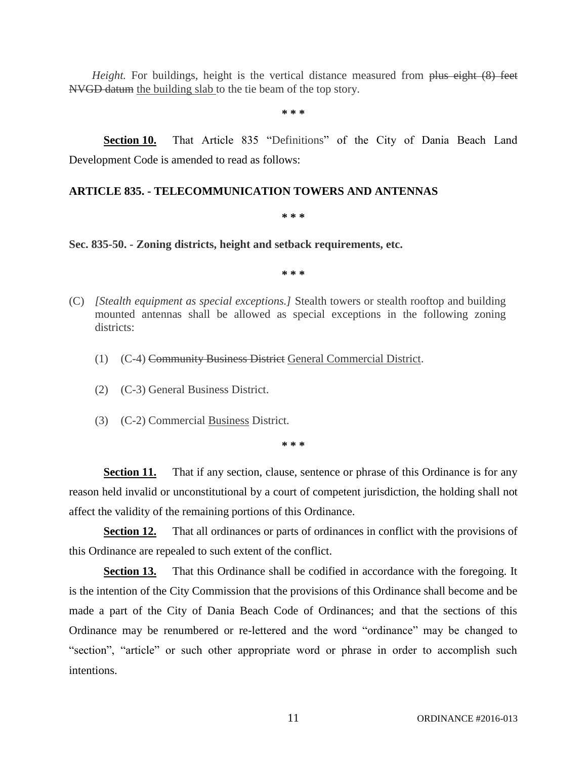*Height.* For buildings, height is the vertical distance measured from plus eight (8) feet NVGD datum the building slab to the tie beam of the top story.

**\* \* \***

**Section 10.** That Article 835 "Definitions" of the City of Dania Beach Land Development Code is amended to read as follows:

# **ARTICLE 835. - TELECOMMUNICATION TOWERS AND ANTENNAS**

#### **\* \* \***

**Sec. 835-50. - Zoning districts, height and setback requirements, etc.** 

**\* \* \***

- (C) *[Stealth equipment as special exceptions.]* Stealth towers or stealth rooftop and building mounted antennas shall be allowed as special exceptions in the following zoning districts:
	- (1) (C-4) Community Business District General Commercial District.
	- (2) (C-3) General Business District.
	- (3) (C-2) Commercial Business District.

**\* \* \***

**Section 11.** That if any section, clause, sentence or phrase of this Ordinance is for any reason held invalid or unconstitutional by a court of competent jurisdiction, the holding shall not affect the validity of the remaining portions of this Ordinance.

**Section 12.** That all ordinances or parts of ordinances in conflict with the provisions of this Ordinance are repealed to such extent of the conflict.

**Section 13.** That this Ordinance shall be codified in accordance with the foregoing. It is the intention of the City Commission that the provisions of this Ordinance shall become and be made a part of the City of Dania Beach Code of Ordinances; and that the sections of this Ordinance may be renumbered or re-lettered and the word "ordinance" may be changed to "section", "article" or such other appropriate word or phrase in order to accomplish such intentions.